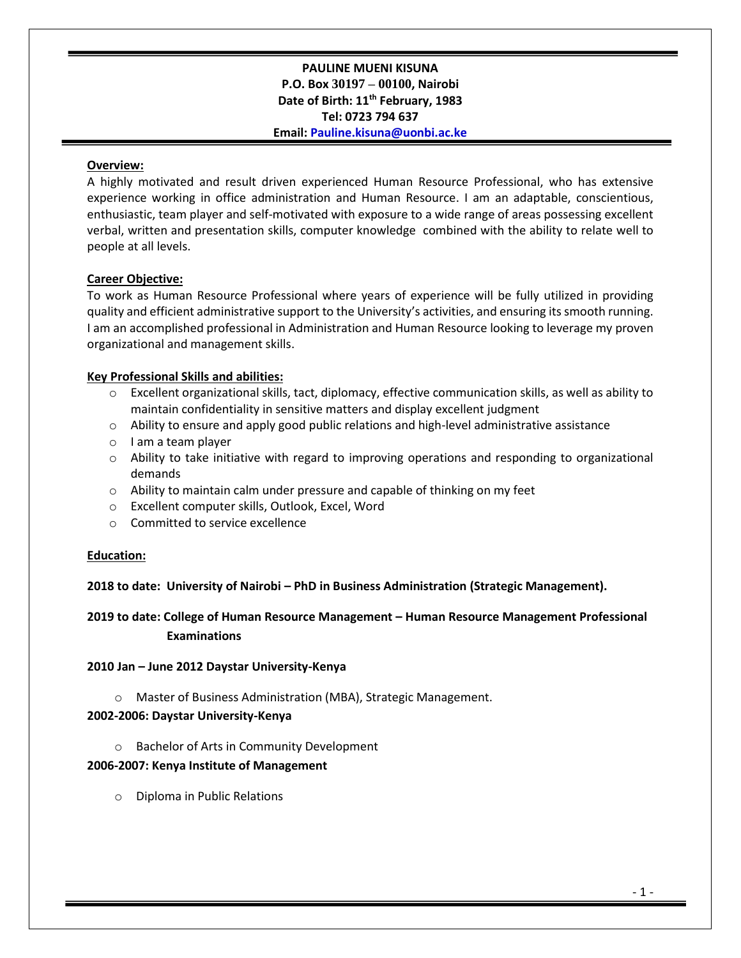### **PAULINE MUENI KISUNA P.O. Box 30197 – 00100, Nairobi Date of Birth: 11th February, 1983 Tel: 0723 794 637 Email: Pauline.kisuna@uonbi.ac.ke**

#### **Overview:**

A highly motivated and result driven experienced Human Resource Professional, who has extensive experience working in office administration and Human Resource. I am an adaptable, conscientious, enthusiastic, team player and self-motivated with exposure to a wide range of areas possessing excellent verbal, written and presentation skills, computer knowledge combined with the ability to relate well to people at all levels.

### **Career Objective:**

To work as Human Resource Professional where years of experience will be fully utilized in providing quality and efficient administrative support to the University's activities, and ensuring its smooth running. I am an accomplished professional in Administration and Human Resource looking to leverage my proven organizational and management skills.

### **Key Professional Skills and abilities:**

- o Excellent organizational skills, tact, diplomacy, effective communication skills, as well as ability to maintain confidentiality in sensitive matters and display excellent judgment
- $\circ$  Ability to ensure and apply good public relations and high-level administrative assistance
- o I am a team player
- $\circ$  Ability to take initiative with regard to improving operations and responding to organizational demands
- $\circ$  Ability to maintain calm under pressure and capable of thinking on my feet
- o Excellent computer skills, Outlook, Excel, Word
- o Committed to service excellence

### **Education:**

**2018 to date: University of Nairobi – PhD in Business Administration (Strategic Management).**

**2019 to date: College of Human Resource Management – Human Resource Management Professional Examinations** 

### **2010 Jan – June 2012 Daystar University-Kenya**

o Master of Business Administration (MBA), Strategic Management.

### **2002-2006: Daystar University-Kenya**

o Bachelor of Arts in Community Development

### **2006-2007: Kenya Institute of Management**

o Diploma in Public Relations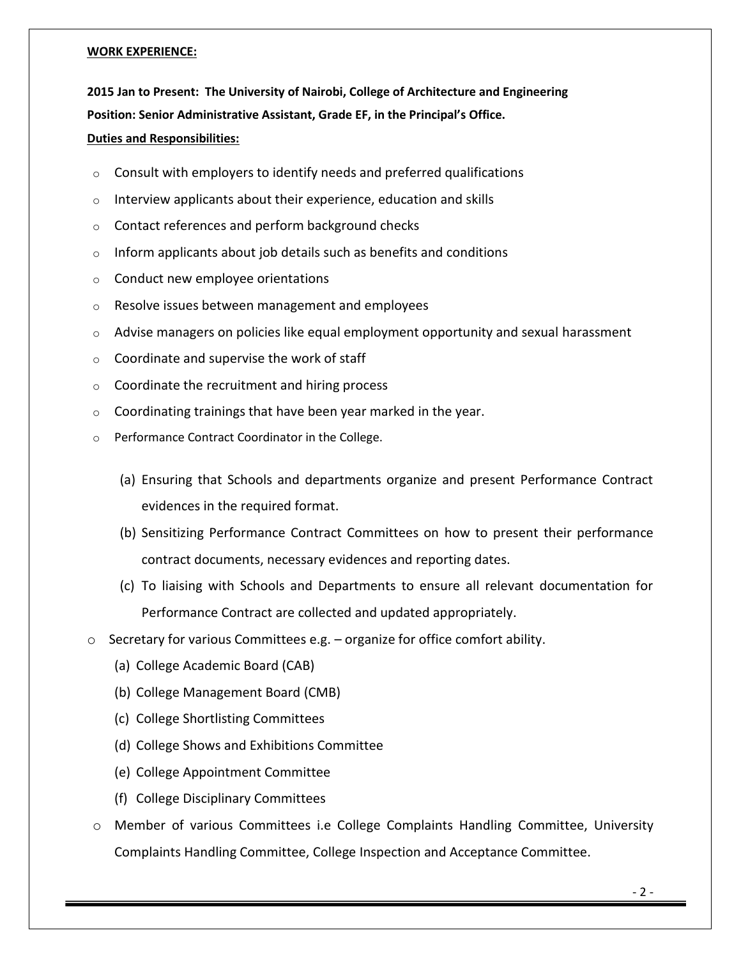#### **WORK EXPERIENCE:**

**2015 Jan to Present: The University of Nairobi, College of Architecture and Engineering Position: Senior Administrative Assistant, Grade EF, in the Principal's Office. Duties and Responsibilities:** 

- o Consult with employers to identify needs and preferred qualifications
- o Interview applicants about their experience, education and skills
- o Contact references and perform background checks
- $\circ$  Inform applicants about job details such as benefits and conditions
- o Conduct new employee orientations
- o Resolve issues between management and employees
- o Advise managers on policies like equal employment opportunity and sexual harassment
- o Coordinate and supervise the work of staff
- o Coordinate the recruitment and hiring process
- $\circ$  Coordinating trainings that have been year marked in the year.
- o Performance Contract Coordinator in the College.
	- (a) Ensuring that Schools and departments organize and present Performance Contract evidences in the required format.
	- (b) Sensitizing Performance Contract Committees on how to present their performance contract documents, necessary evidences and reporting dates.
	- (c) To liaising with Schools and Departments to ensure all relevant documentation for Performance Contract are collected and updated appropriately.
- $\circ$  Secretary for various Committees e.g. organize for office comfort ability.
	- (a) College Academic Board (CAB)
	- (b) College Management Board (CMB)
	- (c) College Shortlisting Committees
	- (d) College Shows and Exhibitions Committee
	- (e) College Appointment Committee
	- (f) College Disciplinary Committees
- o Member of various Committees i.e College Complaints Handling Committee, University Complaints Handling Committee, College Inspection and Acceptance Committee.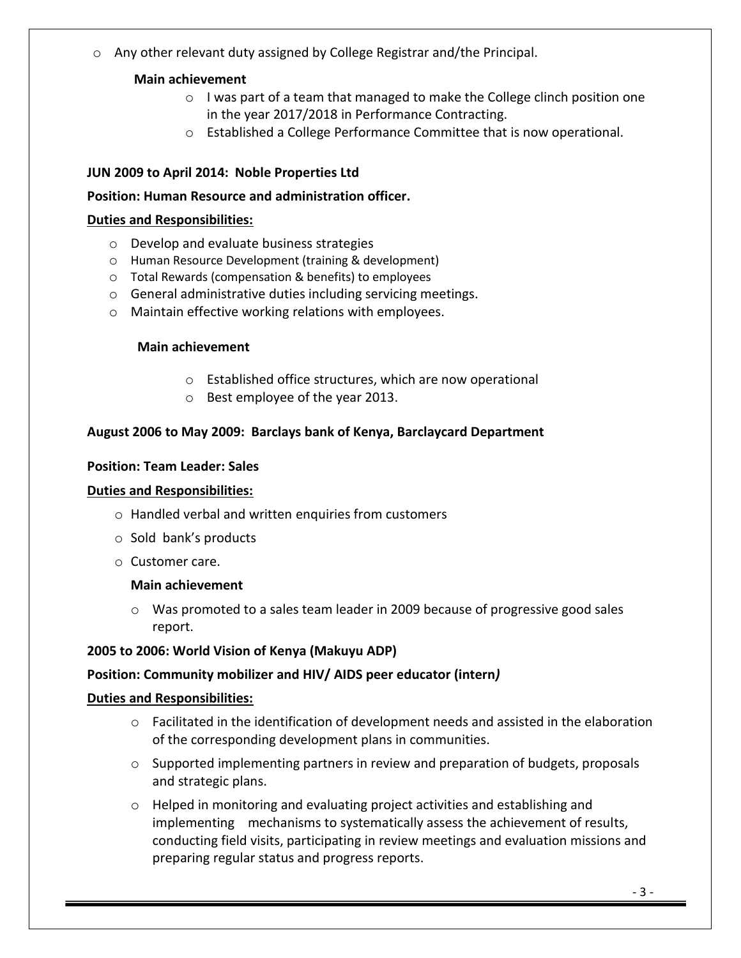o Any other relevant duty assigned by College Registrar and/the Principal.

# **Main achievement**

- $\circ$  I was part of a team that managed to make the College clinch position one in the year 2017/2018 in Performance Contracting.
- o Established a College Performance Committee that is now operational.

# **JUN 2009 to April 2014: Noble Properties Ltd**

# **Position: Human Resource and administration officer.**

# **Duties and Responsibilities:**

- o Develop and evaluate business strategies
- o Human Resource Development (training & development)
- o Total Rewards (compensation & benefits) to employees
- o General administrative duties including servicing meetings.
- o Maintain effective working relations with employees.

## **Main achievement**

- o Established office structures, which are now operational
- o Best employee of the year 2013.

# **August 2006 to May 2009: Barclays bank of Kenya, Barclaycard Department**

## **Position: Team Leader: Sales**

## **Duties and Responsibilities:**

- o Handled verbal and written enquiries from customers
- o Sold bank's products
- o Customer care.

## **Main achievement**

o Was promoted to a sales team leader in 2009 because of progressive good sales report.

## **2005 to 2006: World Vision of Kenya (Makuyu ADP)**

## **Position: Community mobilizer and HIV/ AIDS peer educator (intern***)*

## **Duties and Responsibilities:**

- $\circ$  Facilitated in the identification of development needs and assisted in the elaboration of the corresponding development plans in communities.
- $\circ$  Supported implementing partners in review and preparation of budgets, proposals and strategic plans.
- $\circ$  Helped in monitoring and evaluating project activities and establishing and implementing mechanisms to systematically assess the achievement of results, conducting field visits, participating in review meetings and evaluation missions and preparing regular status and progress reports.